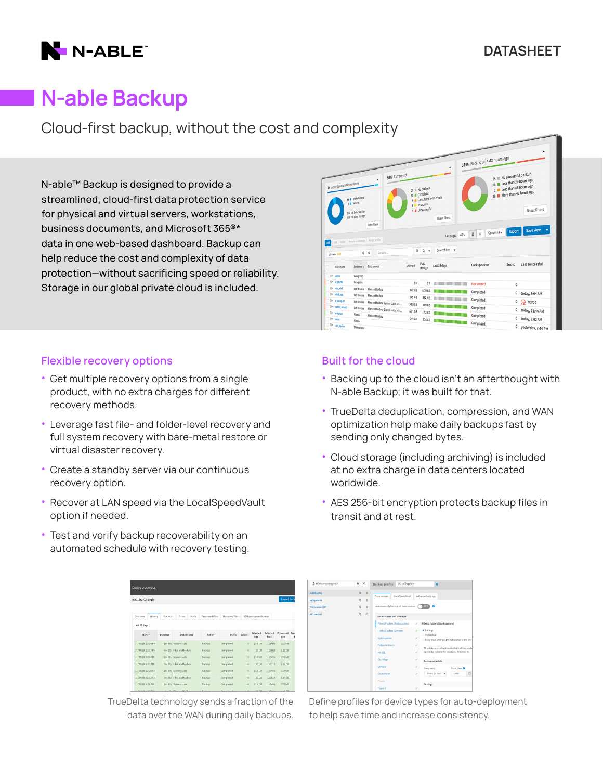

# N-able Backup

Cloud-first backup, without the cost and complexity

N-able™ Backup is designed to provide a streamlined, cloud-first data protection service for physical and virtual servers, workstations, business documents, and Microsoft 365®\* data in one web-based dashboard. Backup can help reduce the cost and complexity of data protection—without sacrificing speed or reliability. Storage in our global private cloud is included.



- Get multiple recovery options from a single product, with no extra charges for different recovery methods.
- Leverage fast file- and folder-level recovery and full system recovery with bare-metal restore or virtual disaster recovery.
- Create a standby server via our continuous recovery option.
- Recover at LAN speed via the LocalSpeedVault option if needed.
- Test and verify backup recoverability on an automated schedule with recovery testing.

11/27/18.6:36 A  $11/27/18, 6:33$ 1/27/18, 12:36 A 11/27/18, 12:33 A

|                   |                          |                 |               |                      |                          |                   |                        | HEH Comput<br><b>AutoDeploy</b>                            |
|-------------------|--------------------------|-----------------|---------------|----------------------|--------------------------|-------------------|------------------------|------------------------------------------------------------|
| <b>Statistics</b> | Errors<br>Audit          | Processed files | Removed files |                      | VDR session verification |                   | Launch back            | sql systems<br><b>Workstation HF</b><br><b>HF</b> internal |
| Duration          | Data source              | Action          | Status        | Frront               | Selected<br>size         | Selected<br>files | Processed Prod<br>size |                                                            |
|                   | 1m 46s System state      | Backup          | Completed     | $\circ$              | 13.6 GB                  | 118496            | <b>227 MB</b>          |                                                            |
|                   | 6m 20s Files and folders | Backup          | Completed     | $\ddot{\mathbf{0}}$  | 20 GB                    | 113592            | 1.10 GB                |                                                            |
|                   |                          |                 |               | $\theta$             | 13.6 GB                  | 118496            | 229 MB                 |                                                            |
|                   | 1m 31s System state      | <b>Backup</b>   | Completed     |                      |                          |                   |                        |                                                            |
|                   | 3m 25s Files and folders | Backup          | Completed     | $\ddot{\phantom{0}}$ | 20 GB                    | 113112            | 1.29 GB                |                                                            |
|                   | 1m 14s System state      | Backup          | Completed     | $\Omega$             | 13.6 GB                  | 118496            | 227 MB                 |                                                            |

 $0 = 13.6\,\text{GB} = 118\,\text{GB} = -227\,\text{MB}$ 

TrueDelta technology sends a fraction of the data over the WAN during daily backups.

| 74 Active Servers & Workstations                                            | 69 III Illockstations<br>5 Servers<br>5.52 TB Selected size<br>7.58 TB Used storage | <b>Reset filters</b>                                     | 55% Completed |          | 20    No backups<br>51 Completed<br>5 Completed with errors<br>8 In process<br>9 Unsuccessful | ٠<br>Reset filters           | 31% Backed up > 48 hours ago      |           | 25 No successful backup<br>38 Less than 24 hours ago<br>1 Less than 48 hours ago<br>29 More than 48 hours ago | Reset filters   |
|-----------------------------------------------------------------------------|-------------------------------------------------------------------------------------|----------------------------------------------------------|---------------|----------|-----------------------------------------------------------------------------------------------|------------------------------|-----------------------------------|-----------|---------------------------------------------------------------------------------------------------------------|-----------------|
|                                                                             |                                                                                     |                                                          |               |          |                                                                                               |                              |                                   |           |                                                                                                               |                 |
| Edit Delete Remote commands Assign profile<br>kö.<br>2 <i>pable</i> (trial) | $0^{\circ}$                                                                         | Contains                                                 |               |          | 00                                                                                            | Per page:<br>Select filter v | $\equiv$<br>$\equiv$<br>$40 \vee$ | Columns v | Export                                                                                                        | Save view       |
| Device name                                                                 | Customer A                                                                          | Data sources                                             |               | Selected | Used<br>storage                                                                               | Last 28 days                 | Backup status                     |           | Errors                                                                                                        | Last successful |
| $0 + \text{carnn}$                                                          | George Inc                                                                          |                                                          |               |          |                                                                                               |                              |                                   |           |                                                                                                               |                 |
| 0 · pc.prueba                                                               | George Inc.                                                                         |                                                          |               | 0B       | 0B                                                                                            | $\blacksquare$               | Not started                       |           | 0                                                                                                             |                 |
| 0 v nacini                                                                  | Lab Devices                                                                         | Files and folders                                        |               | 747 MR   | 6.19 GB                                                                                       |                              | Completed                         |           |                                                                                                               |                 |
| 0 v volod_test                                                              | Lab Devices                                                                         | Files and folders                                        |               | 345 MB   | 332 MB                                                                                        |                              |                                   |           | 0                                                                                                             | today, 3:04 AM  |
| 0-яниро                                                                     | Lab Devices                                                                         | Files and folders, System state, MS                      |               | 54.5 GB  | 409 GB                                                                                        |                              | Completed                         |           | 0                                                                                                             | 27/3/16         |
| @ v vonter_served<br>$0$ v tanlaptop                                        | Lab Devices<br>Marcio                                                               | Files and folders, System state, MS<br>Files and folders |               | 65.1 GB  | 37.2 GB                                                                                       | - - -                        | Completed<br>Completed            |           | 0                                                                                                             | today, 11:44 AM |

## Built for the cloud

- Backing up to the cloud isn't an afterthought with N-able Backup; it was built for that.
- TrueDelta deduplication, compression, and WAN optimization help make daily backups fast by sending only changed bytes.
- Cloud storage (including archiving) is included at no extra charge in data centers located worldwide.
- AES 256-bit encryption protects backup files in transit and at rest.



Define profiles for device types for auto-deployment to help save time and increase consistency.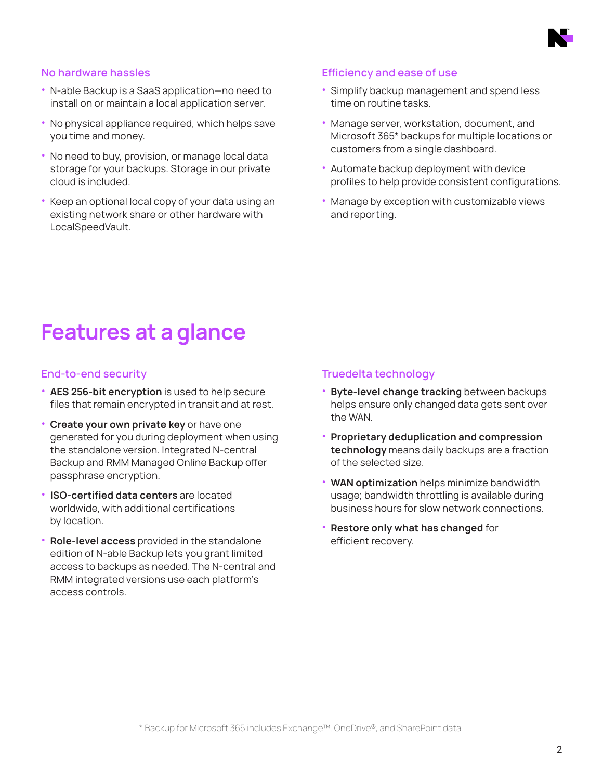

### No hardware hassles

- N-able Backup is a SaaS application—no need to install on or maintain a local application server.
- No physical appliance required, which helps save you time and money.
- No need to buy, provision, or manage local data storage for your backups. Storage in our private cloud is included.
- Keep an optional local copy of your data using an existing network share or other hardware with LocalSpeedVault.

#### Efficiency and ease of use

- Simplify backup management and spend less time on routine tasks.
- Manage server, workstation, document, and Microsoft 365\* backups for multiple locations or customers from a single dashboard.
- Automate backup deployment with device profiles to help provide consistent configurations.
- Manage by exception with customizable views and reporting.

# Features at a glance

### End-to-end security

- AES 256-bit encryption is used to help secure files that remain encrypted in transit and at rest.
- Create your own private key or have one generated for you during deployment when using the standalone version. Integrated N-central Backup and RMM Managed Online Backup offer passphrase encryption.
- ISO-certified data centers are located worldwide, with additional certifications by location.
- Role-level access provided in the standalone edition of N-able Backup lets you grant limited access to backups as needed. The N-central and RMM integrated versions use each platform's access controls.

### Truedelta technology

- Byte-level change tracking between backups helps ensure only changed data gets sent over the WAN.
- Proprietary deduplication and compression technology means daily backups are a fraction of the selected size.
- WAN optimization helps minimize bandwidth usage; bandwidth throttling is available during business hours for slow network connections.
- Restore only what has changed for efficient recovery.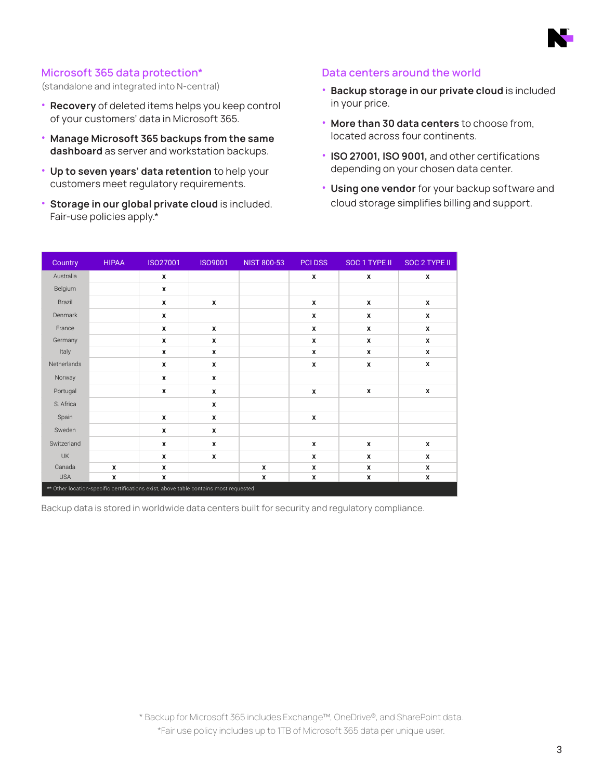

## Microsoft 365 data protection\*

(standalone and integrated into N-central)

- Recovery of deleted items helps you keep control of your customers' data in Microsoft 365.
- Manage Microsoft 365 backups from the same dashboard as server and workstation backups.
- Up to seven years' data retention to help your customers meet regulatory requirements.
- Storage in our global private cloud is included. Fair-use policies apply.\*

### Data centers around the world

- Backup storage in our private cloud is included in your price.
- More than 30 data centers to choose from, located across four continents.
- ISO 27001, ISO 9001, and other certifications depending on your chosen data center.
- Using one vendor for your backup software and cloud storage simplifies billing and support.

| Country     | <b>HIPAA</b> | ISO27001                                                                             | <b>ISO9001</b> | <b>NIST 800-53</b> | <b>PCI DSS</b>   | SOC 1 TYPE II | SOC 2 TYPE II |
|-------------|--------------|--------------------------------------------------------------------------------------|----------------|--------------------|------------------|---------------|---------------|
| Australia   |              | X                                                                                    |                |                    | $\mathbf{x}$     | X             | X             |
| Belgium     |              | X                                                                                    |                |                    |                  |               |               |
| Brazil      |              | X                                                                                    | x              |                    | X                | X             | X             |
| Denmark     |              | X                                                                                    |                |                    | X                | x             | X             |
| France      |              | X                                                                                    | X              |                    | X                | x             | X             |
| Germany     |              | X                                                                                    | X              |                    | $\boldsymbol{x}$ | X             | X             |
| Italy       |              | X                                                                                    | X              |                    | X                | x             | X             |
| Netherlands |              | X                                                                                    | X              |                    | X                | X             | X             |
| Norway      |              | X                                                                                    | X              |                    |                  |               |               |
| Portugal    |              | X                                                                                    | X              |                    | $\boldsymbol{x}$ | X             | X             |
| S. Africa   |              |                                                                                      | X              |                    |                  |               |               |
| Spain       |              | X                                                                                    | X              |                    | X                |               |               |
| Sweden      |              | X                                                                                    | X              |                    |                  |               |               |
| Switzerland |              | X                                                                                    | X              |                    | X                | X             | X             |
| <b>UK</b>   |              | X                                                                                    | X              |                    | $\boldsymbol{x}$ | X             | x             |
| Canada      | X            | X                                                                                    |                | $\pmb{\chi}$       | X                | x             | X             |
| <b>USA</b>  | X            | X                                                                                    |                | $\pmb{\chi}$       | X                | x             | X             |
|             |              | ** Other location-specific certifications exist, above table contains most requested |                |                    |                  |               |               |

Backup data is stored in worldwide data centers built for security and regulatory compliance.

\* Backup for Microsoft 365 includes Exchange™, OneDrive®, and SharePoint data. \*Fair use policy includes up to 1TB of Microsoft 365 data per unique user.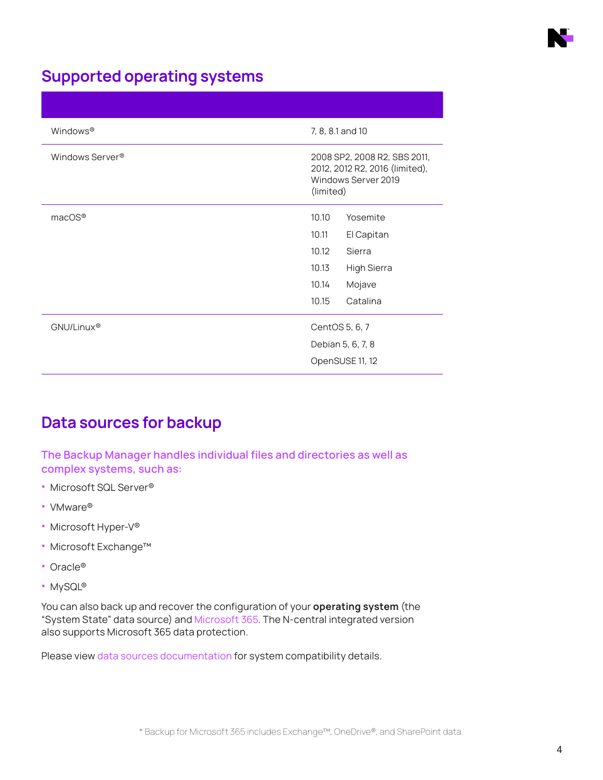

# Supported operating systems

| Windows <sup>®</sup>        | 7, 8, 8.1 and 10                                                                                   |
|-----------------------------|----------------------------------------------------------------------------------------------------|
| Windows Server <sup>®</sup> | 2008 SP2, 2008 R2, SBS 2011,<br>2012, 2012 R2, 2016 (limited),<br>Windows Server 2019<br>(limited) |
| macOS®                      | 10.10<br>Yosemite                                                                                  |
|                             | 10.11<br>El Capitan                                                                                |
|                             | 10.12<br>Sierra                                                                                    |
|                             | <b>High Sierra</b><br>10.13                                                                        |
|                             | Mojave<br>10.14                                                                                    |
|                             | 10.15<br>Catalina                                                                                  |
| GNU/Linux <sup>®</sup>      | CentOS 5, 6, 7                                                                                     |
|                             | Debian 5, 6, 7, 8                                                                                  |
|                             | OpenSUSE 11, 12                                                                                    |

# Data sources for backup

The Backup Manager handles individual files and directories as well as complex systems, such as:

- Microsoft SQL Server®
- VMware®
- Microsoft Hyper-V®
- Microsoft Exchange™
- Oracle®
- MySQL®

You can also back up and recover the configuration of your operating system (the "System State" data source) and Microsoft 365. The N-central integrated version also supports Microsoft 365 data protection.

Please view data sources documentation for system compatibility details.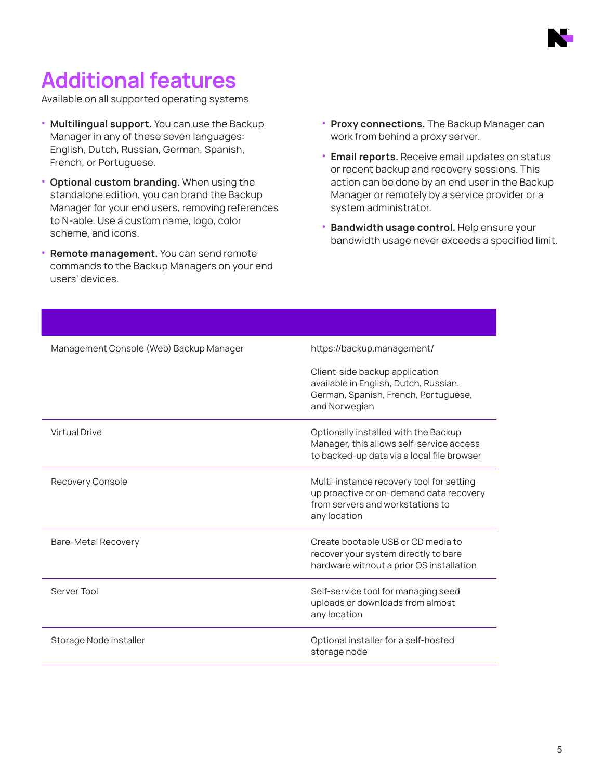

# Additional features

Available on all supported operating systems

- Multilingual support. You can use the Backup Manager in any of these seven languages: English, Dutch, Russian, German, Spanish, French, or Portuguese.
- Optional custom branding. When using the standalone edition, you can brand the Backup Manager for your end users, removing references to N-able. Use a custom name, logo, color scheme, and icons.
- Remote management. You can send remote commands to the Backup Managers on your end users' devices.
- Proxy connections. The Backup Manager can work from behind a proxy server.
- Email reports. Receive email updates on status or recent backup and recovery sessions. This action can be done by an end user in the Backup Manager or remotely by a service provider or a system administrator.
- Bandwidth usage control. Help ensure your bandwidth usage never exceeds a specified limit.

| Management Console (Web) Backup Manager | https://backup.management/                                                                                                              |
|-----------------------------------------|-----------------------------------------------------------------------------------------------------------------------------------------|
|                                         | Client-side backup application<br>available in English, Dutch, Russian,<br>German, Spanish, French, Portuguese,<br>and Norwegian        |
| <b>Virtual Drive</b>                    | Optionally installed with the Backup<br>Manager, this allows self-service access<br>to backed-up data via a local file browser          |
| Recovery Console                        | Multi-instance recovery tool for setting<br>up proactive or on-demand data recovery<br>from servers and workstations to<br>any location |
| Bare-Metal Recovery                     | Create bootable USB or CD media to<br>recover your system directly to bare<br>hardware without a prior OS installation                  |
| Server Tool                             | Self-service tool for managing seed<br>uploads or downloads from almost<br>any location                                                 |
| Storage Node Installer                  | Optional installer for a self-hosted<br>storage node                                                                                    |